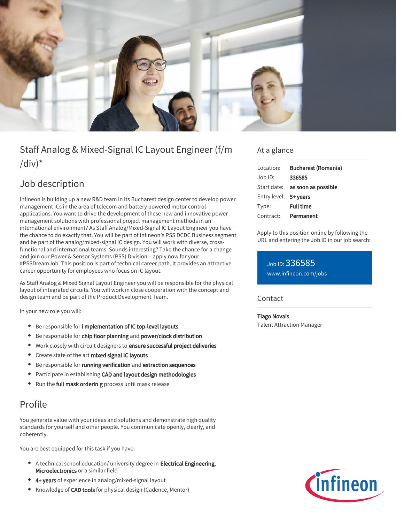

# Staff Analog & Mixed-Signal IC Layout Engineer (f/m  $\frac{1}{d}$

# Job description

Infineon is building up a new R&D team in its Bucharest design center to develop power management ICs in the area of telecom and battery powered motor control applications. You want to drive the development of these new and innovative power management solutions with professional project management methods in an international environment? As Staff Analog/Mixed-Signal IC Layout Engineer you have the chance to do exactly that. You will be part of Infineon's PSS DCDC Business segment and be part of the analog/mixed-signal IC design. You will work with diverse, crossfunctional and international teams. Sounds interesting? Take the chance for a change and join our Power & Sensor Systems (PSS) Division – apply now for your #PSSDreamJob. This position is part of technical career path. It provides an attractive career opportunity for employees who focus on IC layout.

As Staff Analog & Mixed Signal Layout Engineer you will be responsible for the physical layout of integrated circuits. You will work in close cooperation with the concept and design team and be part of the Product Development Team.

In your new role you will:

- **•** Be responsible for i mplementation of IC top-level layouts
- **Be responsible for chip floor planning and power/clock distribution**
- Work closely with circuit designers to ensure successful project deliveries
- Create state of the art mixed signal IC layouts
- Be responsible for running verification and extraction sequences
- Participate in establishing CAD and layout design methodologies  $\bullet$
- Run the full mask orderin g process until mask release

## Profile

You generate value with your ideas and solutions and demonstrate high quality standards for yourself and other people. You communicate openly, clearly, and coherently.

You are best equipped for this task if you have:

- A technical school education/ university degree in **Electrical Engineering,** Microelectronics or a similar field
- 4+ years of experience in analog/mixed-signal layout
- Knowledge of CAD tools for physical design (Cadence, Mentor)

### At a glance

| Location:             | <b>Bucharest (Romania)</b>             |
|-----------------------|----------------------------------------|
| Job ID:               | 336585                                 |
|                       | Start date: <b>as soon as possible</b> |
| Entry level: 5+ vears |                                        |
| Type:                 | <b>Full time</b>                       |
| Contract:             | Permanent                              |

Apply to this position online by following the URL and entering the Job ID in our job search:

Job ID: 336585 [www.infineon.com/jobs](https://www.infineon.com/jobs)

#### **Contact**

#### Tiago Novais

Talent Attraction Manager